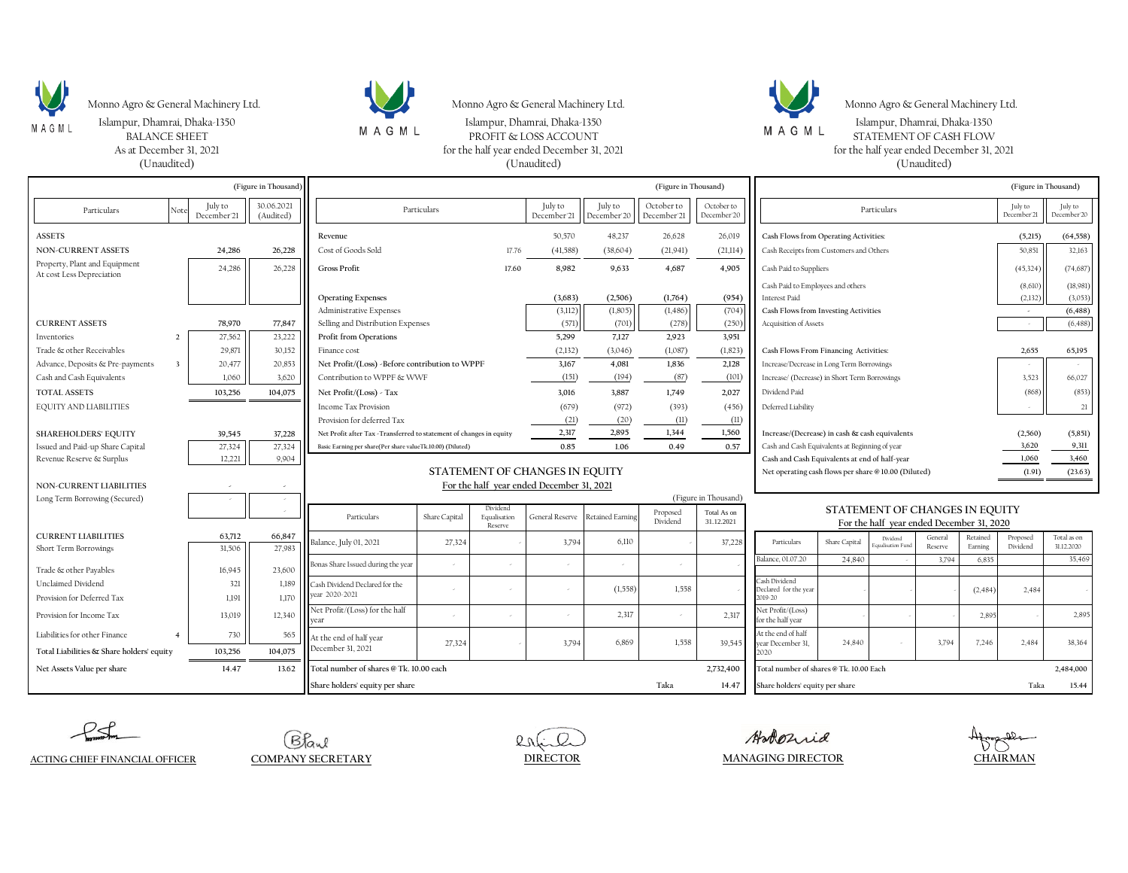

Monno Agro & General Machinery Ltd. Monno Agro & General Machinery Ltd. Monno Agro & General Machinery Ltd. Monno Agro & General Machinery Ltd.





Are Conserved December 31, 2021 Magnus, D. And The Magnus, D. And The Magnus, D. And The Magnus, D. And The Magnus of the half year ended December 31, 2021<br>As at December 31, 2021 for the half year ended December 31, 2021 As at December 31, 2021 for the half year ended December 31, 2021 for the half year ended December 31, 2021 for the half year ended December 31, 2021 for the half year ended December 31, 2021 for the half year ended Decemb (Unaudited) (Unaudited) (Unaudited) Islampur, Dhamrai, Dhaka-1350 Islampur, Dhamrai, Dhaka-1350 Islampur, Dhamrai, Dhaka-1350

| (Figure in Thousand)                                        |  |                        |                         | (Figure in Thousand)                                                                  |               |                         |                        |                         |                           | (Figure in Thousand)      |                                                                                                 |               |                  |         |                                   |                        |                |
|-------------------------------------------------------------|--|------------------------|-------------------------|---------------------------------------------------------------------------------------|---------------|-------------------------|------------------------|-------------------------|---------------------------|---------------------------|-------------------------------------------------------------------------------------------------|---------------|------------------|---------|-----------------------------------|------------------------|----------------|
| Particulars<br>Note                                         |  | July to<br>December'21 | 30.06.2021<br>(Audited) | Particulars                                                                           |               |                         | July to<br>December'21 | July to<br>December'20  | October to<br>December'21 | October to<br>December'20 | Particulars                                                                                     |               |                  |         | July to<br>December <sup>21</sup> | July to<br>December'20 |                |
| <b>ASSETS</b>                                               |  |                        |                         | Revenue                                                                               |               |                         | 50,570                 | 48,237                  | 26,628                    | 26,019                    | Cash Flows from Operating Activities:                                                           |               |                  |         |                                   | (5,215)                | (64, 558)      |
| <b>NON-CURRENT ASSETS</b>                                   |  | 24,286                 | 26,228                  | Cost of Goods Sold<br>17.76                                                           |               |                         | (41, 588)              | (38,604)                | (21,941)                  | (21,114)                  | Cash Receipts from Customers and Others                                                         |               |                  |         | 50,851                            | 32,163                 |                |
| Property, Plant and Equipment<br>At cost Less Depreciation  |  | 24,286                 | 26,228                  | <b>Gross Profit</b>                                                                   |               | 17.60                   | 8.982                  | 9,633                   | 4,687                     | 4.905                     | Cash Paid to Suppliers                                                                          |               |                  |         |                                   | (45, 324)              | (74, 687)      |
|                                                             |  |                        |                         |                                                                                       |               |                         |                        |                         |                           |                           | Cash Paid to Employees and others                                                               |               |                  |         |                                   | (8,610)                | (18,981)       |
|                                                             |  |                        |                         | <b>Operating Expenses</b>                                                             |               |                         | (3,683)                | (2,506)                 | (1,764)                   | (954)                     | <b>Interest Paid</b>                                                                            |               |                  |         |                                   | (2, 132)               | (3,053)        |
|                                                             |  |                        |                         | <b>Administrative Expenses</b>                                                        |               |                         | (3,112)                | (1,805)                 | (1, 486)                  | (704)                     | Cash Flows from Investing Activities                                                            |               |                  |         |                                   | $\sim$                 | (6, 488)       |
| <b>CURRENT ASSETS</b>                                       |  | 78,970                 | 77,847                  | Selling and Distribution Expenses                                                     |               |                         | (571)                  | (701)                   | (278)                     | (250)                     | Acquisition of Assets                                                                           |               |                  |         |                                   |                        | (6, 488)       |
| Inventories<br>$\mathcal{D}$                                |  | 27,562                 | 23,222                  | Profit from Operations<br>5,299<br>7,127<br>2,923<br>3.951                            |               |                         |                        |                         |                           |                           |                                                                                                 |               |                  |         |                                   |                        |                |
| Trade & other Receivables                                   |  | 29,871                 | 30,152                  | Finance cost                                                                          |               |                         | (2,132)                | (3,046)                 | (1,087)                   | (1, 823)                  | Cash Flows From Financing Activities:                                                           |               |                  |         |                                   | 2,655                  | 65,195         |
| $\overline{\mathbf{3}}$<br>Advance, Deposits & Pre-payments |  | 20,477                 | 20,853                  | Net Profit/(Loss) -Before contribution to WPPF                                        |               |                         | 3,167                  | 4,081                   | 1,836                     | 2,128                     | Increase/Decrease in Long Term Borrowings                                                       |               |                  |         |                                   |                        |                |
| Cash and Cash Equivalents                                   |  | 1,060                  | 3,620                   | Contribution to WPPF & WWF                                                            |               |                         | (151)                  | (194)                   | (87)                      | (101)                     | Increase/ (Decrease) in Short Term Borrowings                                                   |               |                  |         |                                   | 3,523                  | 66,027         |
| <b>TOTAL ASSETS</b>                                         |  | 103,256                | 104,075                 | Net Profit/(Loss) - Tax                                                               |               |                         | 3,016                  | 3,887                   | 1,749                     | 2,027                     | Dividend Paid                                                                                   |               |                  |         |                                   | (868)                  | (853)          |
| <b>EQUITY AND LIABILITIES</b>                               |  |                        |                         | Income Tax Provision                                                                  |               |                         | (679)                  | (972)                   | (393)                     | (456)                     | Deferred Liability                                                                              |               |                  |         |                                   |                        | 21             |
|                                                             |  |                        |                         | Provision for deferred Tax                                                            |               |                         | (21)                   | (20)                    | (11)                      | (11)                      |                                                                                                 |               |                  |         |                                   |                        |                |
| <b>SHAREHOLDERS' EQUITY</b>                                 |  | 39.545                 | 37,228                  | Net Profit after Tax -Transferred to statement of changes in equity                   |               |                         | 2,317                  | 2,895                   | 1,344                     | 1,560                     | Increase/(Decrease) in cash & cash equivalents                                                  |               |                  |         |                                   | (2,560)                | (5, 851)       |
| Issued and Paid-up Share Capital                            |  | 27,324<br>12.221       | 27,324<br>9,904         | Basic Earning per share(Per share valueTk.10.00) (Diluted)                            |               |                         | 0.85                   | 1.06                    | 0.49                      | 0.57                      | Cash and Cash Equivalents at Beginning of year<br>Cash and Cash Equivalents at end of half-year |               |                  |         |                                   | 3,620<br>1,060         | 9,311<br>3,460 |
| Revenue Reserve & Surplus                                   |  |                        |                         | STATEMENT OF CHANGES IN EQUITY<br>Net operating cash flows per share @10.00 (Diluted) |               |                         |                        |                         |                           |                           |                                                                                                 | (1.91)        | (23.63)          |         |                                   |                        |                |
| NON-CURRENT LIABILITIES                                     |  |                        |                         | For the half year ended December 31, 2021                                             |               |                         |                        |                         |                           |                           |                                                                                                 |               |                  |         |                                   |                        |                |
| Long Term Borrowing (Secured)                               |  |                        |                         | (Figure in Thousand)                                                                  |               |                         |                        |                         |                           |                           |                                                                                                 |               |                  |         |                                   |                        |                |
|                                                             |  |                        |                         |                                                                                       |               | Dividend                |                        |                         | Proposed                  | Total As on               | STATEMENT OF CHANGES IN EQUITY                                                                  |               |                  |         |                                   |                        |                |
|                                                             |  |                        |                         | Particulars                                                                           | Share Capital | Equalisation<br>Reserve | General Reserve        | <b>Retained Earning</b> | Dividend                  | 31.12.2021                | For the half year ended December 31, 2020                                                       |               |                  |         |                                   |                        |                |
| <b>CURRENT LIABILITIES</b>                                  |  | 63,712                 | 66,847                  | Balance, July 01, 2021                                                                | 27,324        |                         | 3,794                  | 6,110                   |                           | 37,228                    | Particulars                                                                                     | Share Capital | Dividend         | General | Retained                          | Proposed               | Total as on    |
| Short Term Borrowings                                       |  | 31,506                 | 27.983                  |                                                                                       |               |                         |                        |                         |                           |                           |                                                                                                 |               | qualisation Fund | Reserve | Earning                           | Dividend               | 31.12.2020     |
| Trade & other Payables                                      |  | 16,945                 | 23,600                  | Bonas Share Issued during the year                                                    |               |                         |                        |                         |                           |                           | Balance, 01.07.20                                                                               | 24,840        |                  | 3,794   | 6,835                             |                        | 35,469         |
| Unclaimed Dividend                                          |  | 321                    | 1,189                   | Cash Dividend Declared for the                                                        |               |                         |                        |                         |                           |                           | Cash Dividend                                                                                   |               |                  |         |                                   |                        |                |
| Provision for Deferred Tax                                  |  | 1,191                  | 1,170                   | year 2020-2021                                                                        |               |                         |                        | (1,558)                 | 1,558                     |                           | Declared for the year<br>2019-20                                                                |               |                  |         | (2,484)                           | 2,484                  |                |
| Provision for Income Tax                                    |  | 13,019                 | 12,340                  | Net Profit/(Loss) for the half                                                        |               |                         |                        | 2,317                   |                           | 2,317                     | Net Profit/(Loss)<br>for the half year                                                          |               |                  |         | 2.895                             |                        | 2,895          |
| Liabilities for other Finance<br>$\overline{4}$             |  | 730                    | 565                     | At the end of half year                                                               |               |                         |                        |                         |                           |                           | At the end of half                                                                              |               |                  |         |                                   |                        |                |
| Total Liabilities & Share holders' equity                   |  | 103,256                | 104,075                 | December 31, 2021                                                                     | 27,324        |                         | 3,794                  | 6,869                   | 1,558                     | 39.545                    | year December 31,<br>2020                                                                       | 24,840        |                  | 3,794   | 7,246                             | 2,484                  | 38.364         |
| Net Assets Value per share                                  |  | 14.47                  | 13.62                   | Total number of shares @ Tk. 10.00 each                                               |               |                         |                        |                         |                           | 2,732,400                 | Total number of shares @ Tk. 10.00 Each                                                         |               |                  |         |                                   |                        | 2,484,000      |
|                                                             |  |                        |                         | Share holders' equity per share                                                       |               |                         |                        |                         | Taka                      | 14.47                     | Share holders' equity per share                                                                 |               |                  |         |                                   | Taka                   | 15.44          |

 $PS$ 

Bland



Hokorrid **DIRECTOR MANAGING DIRECTOR**

Afragakla **CHAIRMAN**

**ACTING CHIEF FINANCIAL OFFICER COMPANY SECRETARY**